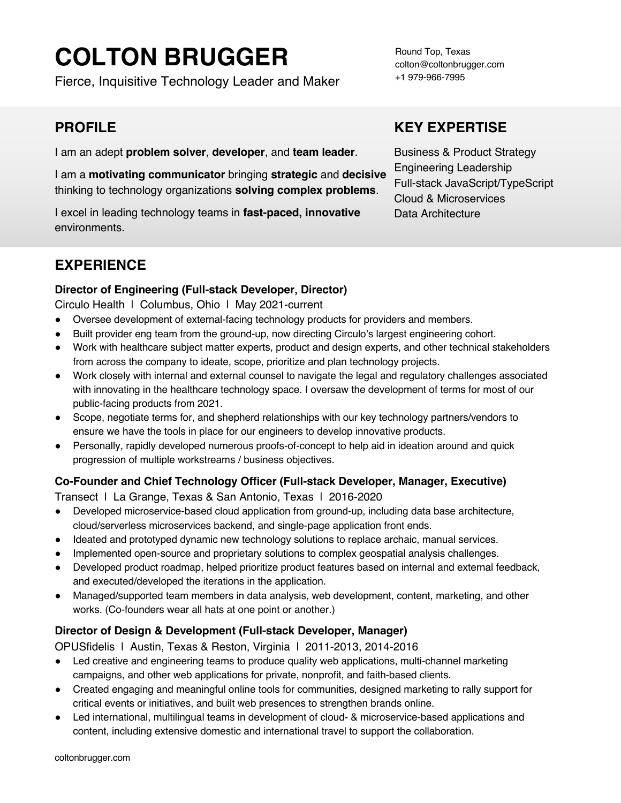# **COLTON BRUGGER**

Fierce, Inquisitive Technology Leader and Maker

## **PROFILE**

I am an adept **problem solver**, **developer**, and **team leader**.

I am a **motivating communicator** bringing **strategic** and **decisive** thinking to technology organizations **solving complex problems**.

I excel in leading technology teams in **fast-paced, innovative** environments.

## **EXPERIENCE**

#### **Director of Engineering (Full-stack Developer, Director)**

Circulo Health | Columbus, Ohio | May 2021-current

- Oversee development of external-facing technology products for providers and members.
- Built provider eng team from the ground-up, now directing Circulo's largest engineering cohort.
- Work with healthcare subject matter experts, product and design experts, and other technical stakeholders from across the company to ideate, scope, prioritize and plan technology projects.
- Work closely with internal and external counsel to navigate the legal and regulatory challenges associated with innovating in the healthcare technology space. I oversaw the development of terms for most of our public-facing products from 2021.
- Scope, negotiate terms for, and shepherd relationships with our key technology partners/vendors to ensure we have the tools in place for our engineers to develop innovative products.
- Personally, rapidly developed numerous proofs-of-concept to help aid in ideation around and quick progression of multiple workstreams / business objectives.

#### **Co-Founder and Chief Technology Officer (Full-stack Developer, Manager, Executive)**

Transect | La Grange, Texas & San Antonio, Texas | 2016-2020

- Developed microservice-based cloud application from ground-up, including data base architecture, cloud/serverless microservices backend, and single-page application front ends.
- Ideated and prototyped dynamic new technology solutions to replace archaic, manual services.
- Implemented open-source and proprietary solutions to complex geospatial analysis challenges.
- Developed product roadmap, helped prioritize product features based on internal and external feedback, and executed/developed the iterations in the application.
- Managed/supported team members in data analysis, web development, content, marketing, and other works. (Co-founders wear all hats at one point or another.)

#### **Director of Design & Development (Full-stack Developer, Manager)**

OPUSfidelis | Austin, Texas & Reston, Virginia | 2011-2013, 2014-2016

- Led creative and engineering teams to produce quality web applications, multi-channel marketing campaigns, and other web applications for private, nonprofit, and faith-based clients.
- Created engaging and meaningful online tools for communities, designed marketing to rally support for critical events or initiatives, and built web presences to strengthen brands online.
- Led international, multilingual teams in development of cloud- & microservice-based applications and content, including extensive domestic and international travel to support the collaboration.

Round Top, Texas colton@coltonbrugger.com +1 979-966-7995

## **KEY EXPERTISE**

Business & Product Strategy Engineering Leadership Full-stack JavaScript/TypeScript Cloud & Microservices Data Architecture